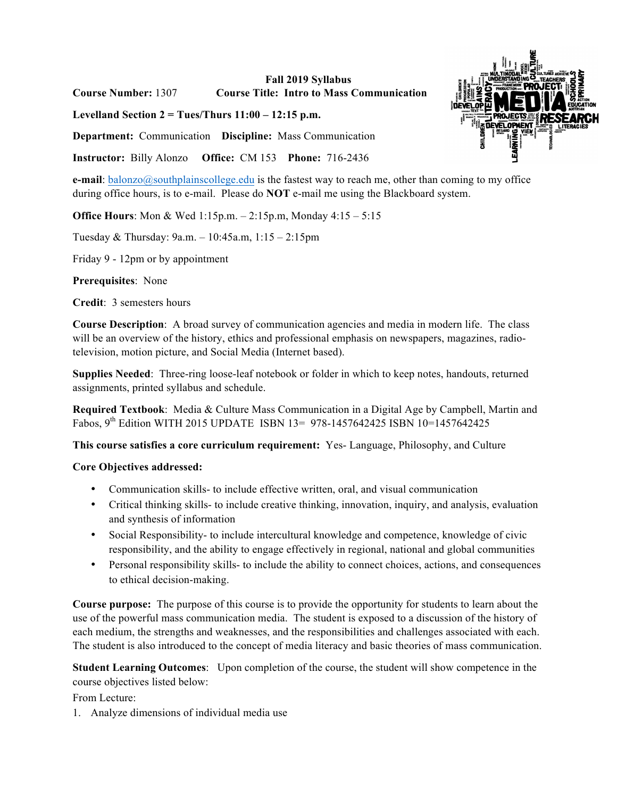#### **Fall 2019 Syllabus Course Number:** 1307 **Course Title: Intro to Mass Communication**

**Levelland Section 2 = Tues/Thurs 11:00 – 12:15 p.m.** 

**Department:** Communication **Discipline:** Mass Communication

**Instructor:** Billy Alonzo **Office:** CM 153 **Phone:** 716-2436

**e-mail**: balonzo@southplainscollege.edu is the fastest way to reach me, other than coming to my office during office hours, is to e-mail. Please do **NOT** e-mail me using the Blackboard system.

**Office Hours**: Mon & Wed 1:15p.m. – 2:15p.m, Monday 4:15 – 5:15

Tuesday & Thursday: 9a.m. – 10:45a.m, 1:15 – 2:15pm

Friday 9 - 12pm or by appointment

**Prerequisites**: None

**Credit**: 3 semesters hours

**Course Description**: A broad survey of communication agencies and media in modern life. The class will be an overview of the history, ethics and professional emphasis on newspapers, magazines, radiotelevision, motion picture, and Social Media (Internet based).

**Supplies Needed**: Three-ring loose-leaf notebook or folder in which to keep notes, handouts, returned assignments, printed syllabus and schedule.

**Required Textbook**: Media & Culture Mass Communication in a Digital Age by Campbell, Martin and Fabos, 9<sup>th</sup> Edition WITH 2015 UPDATE ISBN 13= 978-1457642425 ISBN 10=1457642425

**This course satisfies a core curriculum requirement:** Yes- Language, Philosophy, and Culture

### **Core Objectives addressed:**

- Communication skills- to include effective written, oral, and visual communication
- Critical thinking skills- to include creative thinking, innovation, inquiry, and analysis, evaluation and synthesis of information
- Social Responsibility- to include intercultural knowledge and competence, knowledge of civic responsibility, and the ability to engage effectively in regional, national and global communities
- Personal responsibility skills- to include the ability to connect choices, actions, and consequences to ethical decision-making.

**Course purpose:** The purpose of this course is to provide the opportunity for students to learn about the use of the powerful mass communication media. The student is exposed to a discussion of the history of each medium, the strengths and weaknesses, and the responsibilities and challenges associated with each. The student is also introduced to the concept of media literacy and basic theories of mass communication.

**Student Learning Outcomes**: Upon completion of the course, the student will show competence in the course objectives listed below:

From Lecture:

1. Analyze dimensions of individual media use

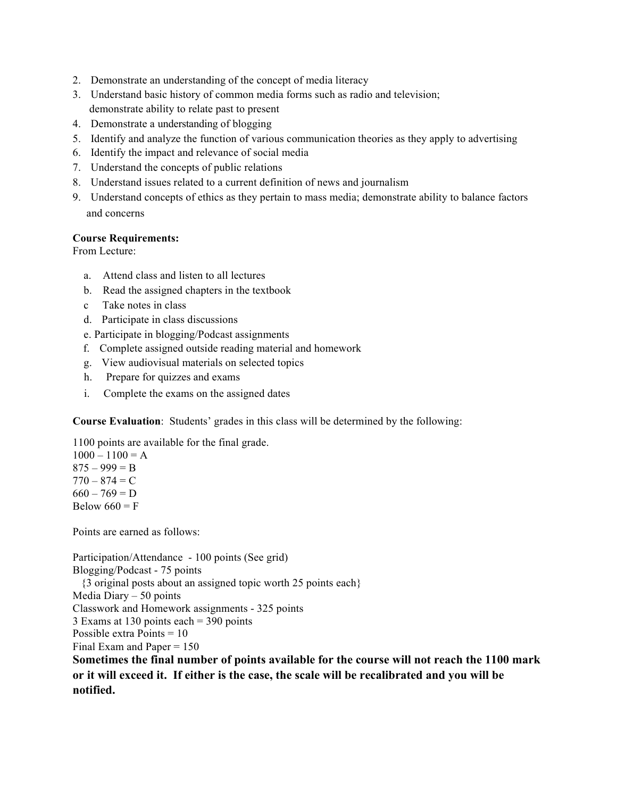- 2. Demonstrate an understanding of the concept of media literacy
- 3. Understand basic history of common media forms such as radio and television; demonstrate ability to relate past to present
- 4. Demonstrate a understanding of blogging
- 5. Identify and analyze the function of various communication theories as they apply to advertising
- 6. Identify the impact and relevance of social media
- 7. Understand the concepts of public relations
- 8. Understand issues related to a current definition of news and journalism
- 9. Understand concepts of ethics as they pertain to mass media; demonstrate ability to balance factors and concerns

### **Course Requirements:**

From Lecture:

- a. Attend class and listen to all lectures
- b. Read the assigned chapters in the textbook
- c Take notes in class
- d. Participate in class discussions
- e. Participate in blogging/Podcast assignments
- f. Complete assigned outside reading material and homework
- g. View audiovisual materials on selected topics
- h. Prepare for quizzes and exams
- i. Complete the exams on the assigned dates

**Course Evaluation**: Students' grades in this class will be determined by the following:

1100 points are available for the final grade.

 $1000 - 1100 = A$  $875 - 999 = B$  $770 - 874 = C$  $660 - 769 = D$ Below  $660 = F$ 

Points are earned as follows:

```
Participation/Attendance - 100 points (See grid)
Blogging/Podcast - 75 points 
   {3 original posts about an assigned topic worth 25 points each}
Media Diary – 50 points 
Classwork and Homework assignments - 325 points
3 Exams at 130 points each = 390 points
Possible extra Points = 10
Final Exam and Paper = 150
```
**Sometimes the final number of points available for the course will not reach the 1100 mark or it will exceed it. If either is the case, the scale will be recalibrated and you will be notified.**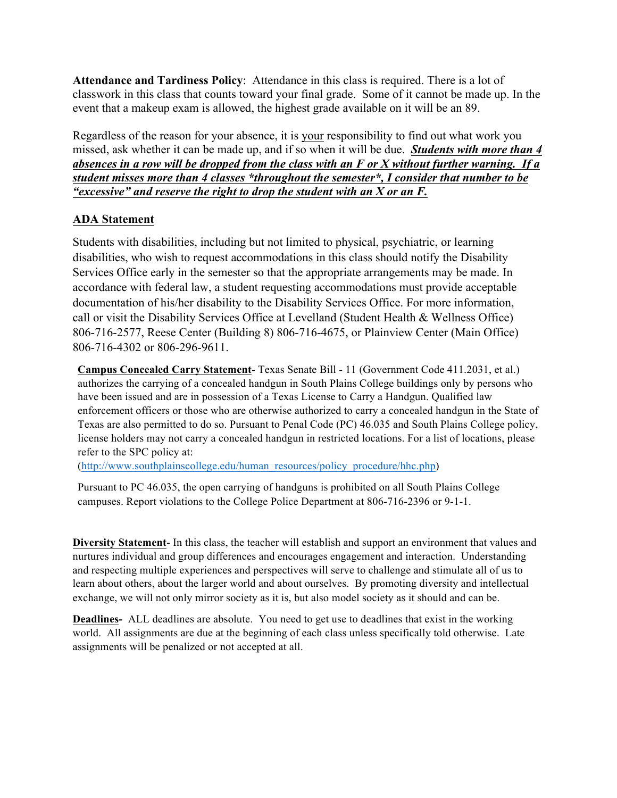**Attendance and Tardiness Policy**: Attendance in this class is required. There is a lot of classwork in this class that counts toward your final grade. Some of it cannot be made up. In the event that a makeup exam is allowed, the highest grade available on it will be an 89.

Regardless of the reason for your absence, it is your responsibility to find out what work you missed, ask whether it can be made up, and if so when it will be due. *Students with more than 4 absences in a row will be dropped from the class with an F or X without further warning. If a student misses more than 4 classes \*throughout the semester\*, I consider that number to be "excessive" and reserve the right to drop the student with an X or an F.*

# **ADA Statement**

Students with disabilities, including but not limited to physical, psychiatric, or learning disabilities, who wish to request accommodations in this class should notify the Disability Services Office early in the semester so that the appropriate arrangements may be made. In accordance with federal law, a student requesting accommodations must provide acceptable documentation of his/her disability to the Disability Services Office. For more information, call or visit the Disability Services Office at Levelland (Student Health & Wellness Office) 806-716-2577, Reese Center (Building 8) 806-716-4675, or Plainview Center (Main Office) 806-716-4302 or 806-296-9611.

**Campus Concealed Carry Statement**- Texas Senate Bill - 11 (Government Code 411.2031, et al.) authorizes the carrying of a concealed handgun in South Plains College buildings only by persons who have been issued and are in possession of a Texas License to Carry a Handgun. Qualified law enforcement officers or those who are otherwise authorized to carry a concealed handgun in the State of Texas are also permitted to do so. Pursuant to Penal Code (PC) 46.035 and South Plains College policy, license holders may not carry a concealed handgun in restricted locations. For a list of locations, please refer to the SPC policy at:

(http://www.southplainscollege.edu/human\_resources/policy\_procedure/hhc.php)

Pursuant to PC 46.035, the open carrying of handguns is prohibited on all South Plains College campuses. Report violations to the College Police Department at 806-716-2396 or 9-1-1.

**Diversity Statement**- In this class, the teacher will establish and support an environment that values and nurtures individual and group differences and encourages engagement and interaction. Understanding and respecting multiple experiences and perspectives will serve to challenge and stimulate all of us to learn about others, about the larger world and about ourselves. By promoting diversity and intellectual exchange, we will not only mirror society as it is, but also model society as it should and can be.

**Deadlines-** ALL deadlines are absolute. You need to get use to deadlines that exist in the working world. All assignments are due at the beginning of each class unless specifically told otherwise. Late assignments will be penalized or not accepted at all.